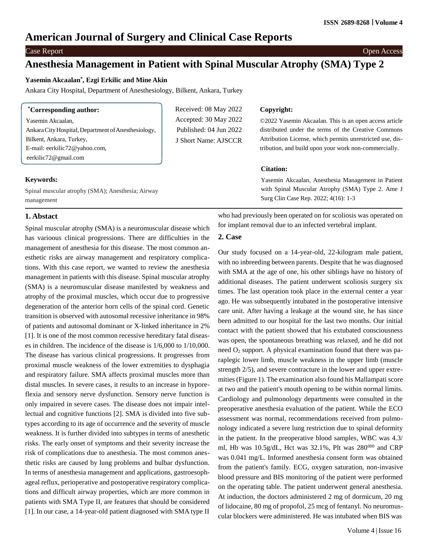# **American Journal of Surgery and Clinical Case Reports**

Case Report Open Access

# **Anesthesia Management in Patient with Spinal Muscular Atrophy (SMA) Type 2**

Received: 08 May 2022 Accepted: 30 May 2022 Published: 04 Jun 2022 J Short Name: AJSCCR

# **Yasemin Akcaalan\* , Ezgi Erkilic and Mine Akin**

Ankara City Hospital, Department of Anesthesiology, Bilkent, Ankara, Turkey

| <i>*Corresponding author:</i>                       |
|-----------------------------------------------------|
| Yasemin Akcaalan,                                   |
| Ankara City Hospital, Department of Anesthesiology, |
| Bilkent, Ankara, Turkey,                            |
| E-mail: eerkilic72@yahoo.com,                       |
| eerkilic72@gmail.com                                |

#### **Keywords:**

Spinal muscular atrophy (SMA); Anesthesia; Airway management

## **Copyright:**

©2022 Yasemin Akcaalan. This is an open access article distributed under the terms of the Creative Commons Attribution License, which permits unrestricted use, distribution, and build upon your work non-commercially.

### **Citation:**

Yasemin Akcaalan, Anesthesia Management in Patient with Spinal Muscular Atrophy (SMA) Type 2. Ame J Surg Clin Case Rep. 2022; 4(16): 1-3

# **1. Abstact**

Spinal muscular atrophy (SMA) is a neuromuscular disease which has varioous clinical progressions. There are difficulties in the management of anesthesia for this disease. The most common anesthetic risks are airway management and respiratory complications. With this case report, we wanted to review the anesthesia management in patients with this disease. Spinal muscular atrophy (SMA) is a neuromuscular disease manifested by weakness and atrophy of the proximal muscles, which occur due to progressive degeneration of the anterior horn cells of the spinal cord. Genetic transition is observed with autosomal recessive inheritance in 98% of patients and autosomal dominant or X-linked inheritance in 2% [1]. It is one of the most common recessive hereditary fatal diseases in children. The incidence of the disease is 1/6,000 to 1/10,000. The disease has various clinical progressions. It progresses from proximal muscle weakness of the lower extremities to dysphagia and respiratory failure. SMA affects proximal muscles more than distal muscles. In severe cases, it results to an increase in hyporeflexia and sensory nerve dysfunction. Sensory nerve function is only impaired in severe cases. The disease does not impair intellectual and cognitive functions [2]. SMA is divided into five subtypes according to its age of occurrence and the severity of muscle weakness. It is further divided into subtypes in terms of anesthetic risks. The early onset of symptoms and their severity increase the risk of complications due to anesthesia. The most common anesthetic risks are caused by lung problems and bulbar dysfunction. In terms of anesthesia management and applications, gastroesophageal reflux, perioperative and postoperative respiratory complications and difficult airway properties, which are more common in patients with SMA Type II, are features that should be considered [1]. In our case, a 14-year-old patient diagnosed with SMA type II

who had previously been operated on for scoliosis was operated on for implant removal due to an infected vertebral implant.

#### **2. Case**

Our study focused on a 14-year-old, 22-kilogram male patient, with no inbreeding between parents. Despite that he was diagnosed with SMA at the age of one, his other siblings have no history of additional diseases. The patient underwent scoliosis surgery six times. The last operation took place in the external center a year ago. He was subsequently intubated in the postoperative intensive care unit. After having a leakage at the wound site, he has since been admitted to our hospital for the last two months. Our initial contact with the patient showed that his extubated consciousness was open, the spontaneous breathing was relaxed, and he did not need  $O_2$  support. A physical examination found that there was paraplegic lower limb, muscle weakness in the upper limb (muscle strength 2/5), and severe contracture in the lower and upper extremities(Figure 1). The examination also found his Mallampati score at two and the patient's mouth opening to be within normal limits. Cardiology and pulmonology departments were consulted in the preoperative anesthesia evaluation of the patient. While the ECO assessment was normal, recommendations received from pulmonology indicated a severe lung restriction due to spinal deformity in the patient. In the preoperative blood samples, WBC was 4.3/ ml, Hb was  $10.5g/dL$ , Hct was  $32.1\%$ , Plt was  $280^{000}$  and CRP was 0.041 mg/L. Informed anesthesia consent form was obtained from the patient's family. ECG, oxygen saturation, non-invasive blood pressure and BIS monitoring of the patient were performed on the operating table. The patient underwent general anesthesia. At induction, the doctors administered 2 mg of dormicum, 20 mg of lidocaine, 80 mg of propofol, 25 mcg of fentanyl. No neuromuscular blockers were administered. He was intubated when BIS was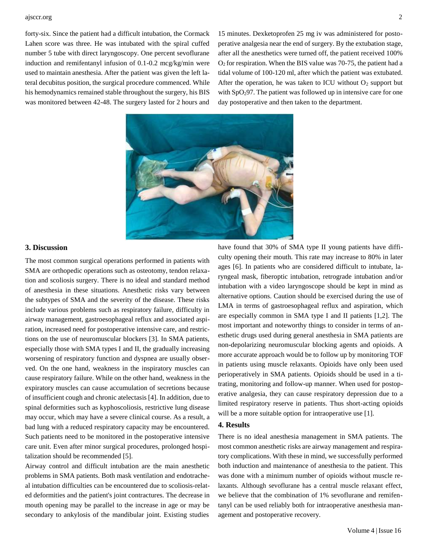#### ajsccr.org 2

forty-six. Since the patient had a difficult intubation, the Cormack Lahen score was three. He was intubated with the spiral cuffed number 5 tube with direct laryngoscopy. One percent sevoflurane induction and remifentanyl infusion of 0.1-0.2 mcg/kg/min were used to maintain anesthesia. After the patient was given the left lateral decubitus position, the surgical procedure commenced. While his hemodynamics remained stable throughout the surgery, his BIS was monitored between 42-48. The surgery lasted for 2 hours and

15 minutes. Dexketoprofen 25 mg iv was administered for postoperative analgesia near the end of surgery. By the extubation stage, after all the anesthetics were turned off, the patient received 100%  $O<sub>2</sub>$  for respiration. When the BIS value was 70-75, the patient had a tidal volume of 100-120 ml, after which the patient was extubated. After the operation, he was taken to ICU without  $O_2$  support but with  $SpO<sub>2</sub>97$ . The patient was followed up in intensive care for one day postoperative and then taken to the department.



#### **3. Discussion**

The most common surgical operations performed in patients with SMA are orthopedic operations such as osteotomy, tendon relaxation and scoliosis surgery. There is no ideal and standard method of anesthesia in these situations. Anesthetic risks vary between the subtypes of SMA and the severity of the disease. These risks include various problems such as respiratory failure, difficulty in airway management, gastroesophageal reflux and associated aspiration, increased need for postoperative intensive care, and restrictions on the use of neuromuscular blockers [3]. In SMA patients, especially those with SMA types I and II, the gradually increasing worsening of respiratory function and dyspnea are usually observed. On the one hand, weakness in the inspiratory muscles can cause respiratory failure. While on the other hand, weakness in the expiratory muscles can cause accumulation of secretions because of insufficient cough and chronic atelectasis [4]. In addition, due to spinal deformities such as kyphoscoliosis, restrictive lung disease may occur, which may have a severe clinical course. As a result, a bad lung with a reduced respiratory capacity may be encountered. Such patients need to be monitored in the postoperative intensive care unit. Even after minor surgical procedures, prolonged hospitalization should be recommended [5].

Airway control and difficult intubation are the main anesthetic problems in SMA patients. Both mask ventilation and endotracheal intubation difficulties can be encountered due to scoliosis-related deformities and the patient's joint contractures. The decrease in mouth opening may be parallel to the increase in age or may be secondary to ankylosis of the mandibular joint. Existing studies

have found that 30% of SMA type II young patients have difficulty opening their mouth. This rate may increase to 80% in later ages [6]. In patients who are considered difficult to intubate, laryngeal mask, fiberoptic intubation, retrograde intubation and/or intubation with a video laryngoscope should be kept in mind as alternative options. Caution should be exercised during the use of LMA in terms of gastroesophageal reflux and aspiration, which are especially common in SMA type I and II patients [1,2]. The most important and noteworthy things to consider in terms of anesthetic drugs used during general anesthesia in SMA patients are non-depolarizing neuromuscular blocking agents and opioids. A more accurate approach would be to follow up by monitoring TOF in patients using muscle relaxants. Opioids have only been used perioperatively in SMA patients. Opioids should be used in a titrating, monitoring and follow-up manner. When used for postoperative analgesia, they can cause respiratory depression due to a limited respiratory reserve in patients. Thus short-acting opioids will be a more suitable option for intraoperative use [1].

## **4. Results**

There is no ideal anesthesia management in SMA patients. The most common anesthetic risks are airway management and respiratory complications. With these in mind, we successfully performed both induction and maintenance of anesthesia to the patient. This was done with a minimum number of opioids without muscle relaxants. Although sevoflurane has a central muscle relaxant effect, we believe that the combination of 1% sevoflurane and remifentanyl can be used reliably both for intraoperative anesthesia management and postoperative recovery.